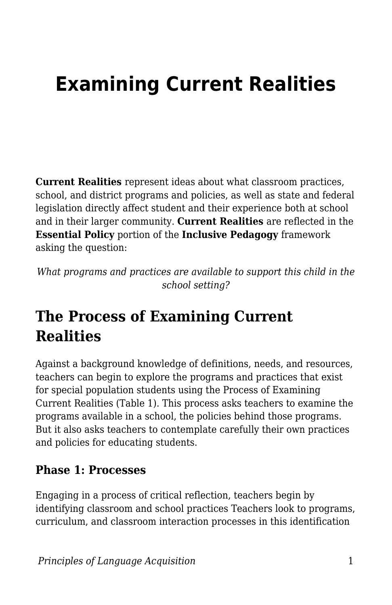# **Examining Current Realities**

**Current Realities** represent ideas about what classroom practices, school, and district programs and policies, as well as state and federal legislation directly affect student and their experience both at school and in their larger community. **Current Realities** are reflected in the **Essential Policy** portion of the **Inclusive Pedagogy** framework asking the question:

*What programs and practices are available to support this child in the school setting?*

## **The Process of Examining Current Realities**

Against a background knowledge of definitions, needs, and resources, teachers can begin to explore the programs and practices that exist for special population students using the Process of Examining Current Realities (Table 1). This process asks teachers to examine the programs available in a school, the policies behind those programs. But it also asks teachers to contemplate carefully their own practices and policies for educating students.

#### **Phase 1: Processes**

Engaging in a process of critical reflection, teachers begin by identifying classroom and school practices Teachers look to programs, curriculum, and classroom interaction processes in this identification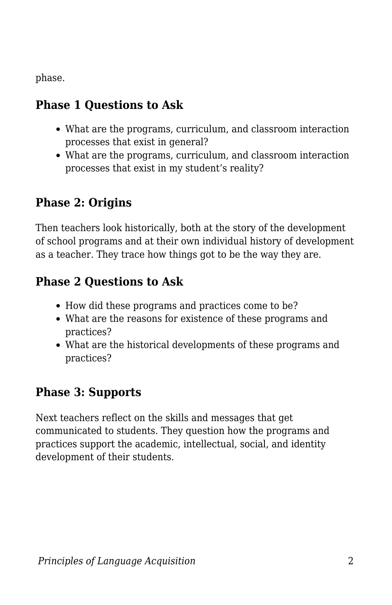phase.

#### **Phase 1 Questions to Ask**

- What are the programs, curriculum, and classroom interaction processes that exist in general?
- What are the programs, curriculum, and classroom interaction processes that exist in my student's reality?

#### **Phase 2: Origins**

Then teachers look historically, both at the story of the development of school programs and at their own individual history of development as a teacher. They trace how things got to be the way they are.

#### **Phase 2 Questions to Ask**

- How did these programs and practices come to be?
- What are the reasons for existence of these programs and practices?
- What are the historical developments of these programs and practices?

### **Phase 3: Supports**

Next teachers reflect on the skills and messages that get communicated to students. They question how the programs and practices support the academic, intellectual, social, and identity development of their students.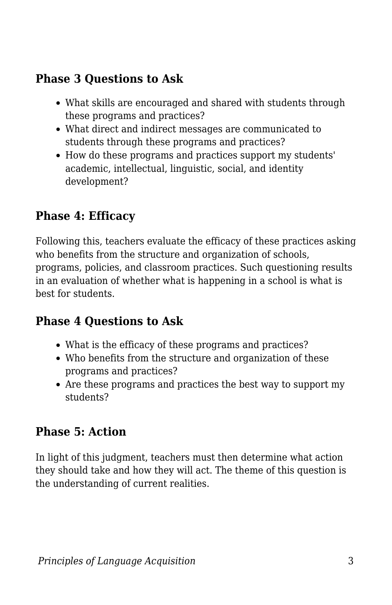#### **Phase 3 Questions to Ask**

- What skills are encouraged and shared with students through these programs and practices?
- What direct and indirect messages are communicated to students through these programs and practices?
- How do these programs and practices support my students' academic, intellectual, linguistic, social, and identity development?

#### **Phase 4: Efficacy**

Following this, teachers evaluate the efficacy of these practices asking who benefits from the structure and organization of schools, programs, policies, and classroom practices. Such questioning results in an evaluation of whether what is happening in a school is what is best for students.

#### **Phase 4 Questions to Ask**

- What is the efficacy of these programs and practices?
- Who benefits from the structure and organization of these programs and practices?
- Are these programs and practices the best way to support my students?

#### **Phase 5: Action**

In light of this judgment, teachers must then determine what action they should take and how they will act. The theme of this question is the understanding of current realities.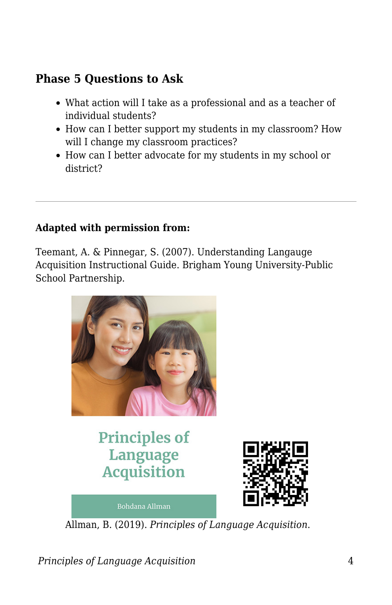#### **Phase 5 Questions to Ask**

- What action will I take as a professional and as a teacher of individual students?
- How can I better support my students in my classroom? How will I change my classroom practices?
- How can I better advocate for my students in my school or district?

#### **Adapted with permission from:**

Teemant, A. & Pinnegar, S. (2007). Understanding Langauge Acquisition Instructional Guide. Brigham Young University-Public School Partnership.



**Principles of** Language **Acquisition** 

**Bohdana Allman** 



Allman, B. (2019). *Principles of Language Acquisition*.